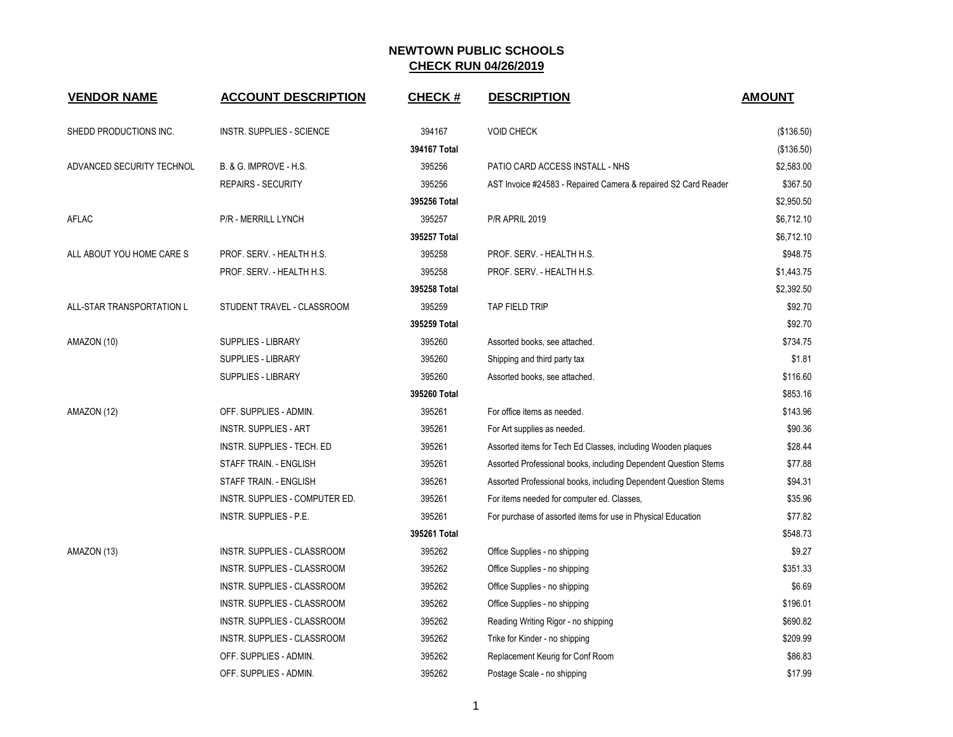| <b>VENDOR NAME</b>        | <b>ACCOUNT DESCRIPTION</b>       | <b>CHECK#</b> | <b>DESCRIPTION</b>                                              | <b>AMOUNT</b> |
|---------------------------|----------------------------------|---------------|-----------------------------------------------------------------|---------------|
| SHEDD PRODUCTIONS INC.    | <b>INSTR. SUPPLIES - SCIENCE</b> | 394167        | <b>VOID CHECK</b>                                               | (\$136.50)    |
|                           |                                  | 394167 Total  |                                                                 | (\$136.50)    |
| ADVANCED SECURITY TECHNOL | B. & G. IMPROVE - H.S.           | 395256        | PATIO CARD ACCESS INSTALL - NHS                                 | \$2,583.00    |
|                           | <b>REPAIRS - SECURITY</b>        | 395256        | AST Invoice #24583 - Repaired Camera & repaired S2 Card Reader  | \$367.50      |
|                           |                                  | 395256 Total  |                                                                 | \$2,950.50    |
| <b>AFLAC</b>              | P/R - MERRILL LYNCH              | 395257        | <b>P/R APRIL 2019</b>                                           | \$6,712.10    |
|                           |                                  | 395257 Total  |                                                                 | \$6,712.10    |
| ALL ABOUT YOU HOME CARE S | PROF. SERV. - HEALTH H.S.        | 395258        | PROF. SERV. - HEALTH H.S.                                       | \$948.75      |
|                           | PROF. SERV. - HEALTH H.S.        | 395258        | PROF. SERV. - HEALTH H.S.                                       | \$1,443.75    |
|                           |                                  | 395258 Total  |                                                                 | \$2,392.50    |
| ALL-STAR TRANSPORTATION L | STUDENT TRAVEL - CLASSROOM       | 395259        | TAP FIELD TRIP                                                  | \$92.70       |
|                           |                                  | 395259 Total  |                                                                 | \$92.70       |
| AMAZON (10)               | SUPPLIES - LIBRARY               | 395260        | Assorted books, see attached.                                   | \$734.75      |
|                           | SUPPLIES - LIBRARY               | 395260        | Shipping and third party tax                                    | \$1.81        |
|                           | SUPPLIES - LIBRARY               | 395260        | Assorted books, see attached.                                   | \$116.60      |
|                           |                                  | 395260 Total  |                                                                 | \$853.16      |
| AMAZON (12)               | OFF. SUPPLIES - ADMIN.           | 395261        | For office items as needed.                                     | \$143.96      |
|                           | <b>INSTR. SUPPLIES - ART</b>     | 395261        | For Art supplies as needed.                                     | \$90.36       |
|                           | INSTR. SUPPLIES - TECH. ED       | 395261        | Assorted items for Tech Ed Classes, including Wooden plaques    | \$28.44       |
|                           | STAFF TRAIN. - ENGLISH           | 395261        | Assorted Professional books, including Dependent Question Stems | \$77.88       |
|                           | STAFF TRAIN. - ENGLISH           | 395261        | Assorted Professional books, including Dependent Question Stems | \$94.31       |
|                           | INSTR. SUPPLIES - COMPUTER ED.   | 395261        | For items needed for computer ed. Classes,                      | \$35.96       |
|                           | INSTR. SUPPLIES - P.E.           | 395261        | For purchase of assorted items for use in Physical Education    | \$77.82       |
|                           |                                  | 395261 Total  |                                                                 | \$548.73      |
| AMAZON (13)               | INSTR. SUPPLIES - CLASSROOM      | 395262        | Office Supplies - no shipping                                   | \$9.27        |
|                           | INSTR. SUPPLIES - CLASSROOM      | 395262        | Office Supplies - no shipping                                   | \$351.33      |
|                           | INSTR. SUPPLIES - CLASSROOM      | 395262        | Office Supplies - no shipping                                   | \$6.69        |
|                           | INSTR. SUPPLIES - CLASSROOM      | 395262        | Office Supplies - no shipping                                   | \$196.01      |
|                           | INSTR. SUPPLIES - CLASSROOM      | 395262        | Reading Writing Rigor - no shipping                             | \$690.82      |
|                           | INSTR. SUPPLIES - CLASSROOM      | 395262        | Trike for Kinder - no shipping                                  | \$209.99      |
|                           | OFF. SUPPLIES - ADMIN.           | 395262        | Replacement Keurig for Conf Room                                | \$86.83       |
|                           | OFF. SUPPLIES - ADMIN.           | 395262        | Postage Scale - no shipping                                     | \$17.99       |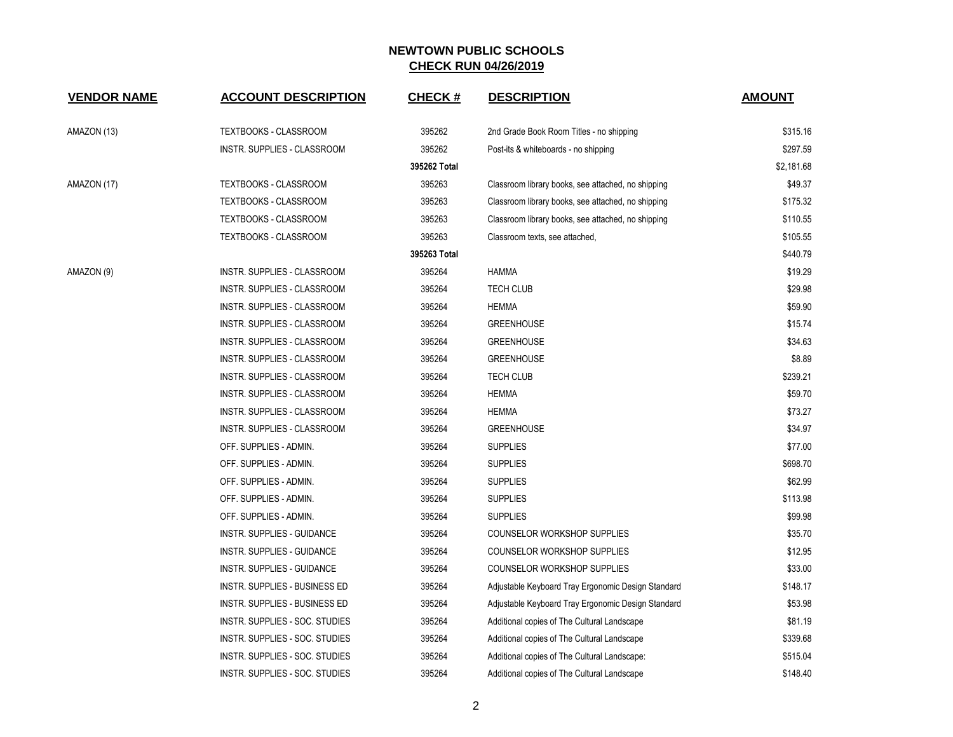| <b>VENDOR NAME</b> | <b>ACCOUNT DESCRIPTION</b>         | <b>CHECK#</b> | <b>DESCRIPTION</b>                                 | <b>AMOUNT</b> |
|--------------------|------------------------------------|---------------|----------------------------------------------------|---------------|
| AMAZON (13)        | TEXTBOOKS - CLASSROOM              | 395262        | 2nd Grade Book Room Titles - no shipping           | \$315.16      |
|                    | INSTR. SUPPLIES - CLASSROOM        | 395262        | Post-its & whiteboards - no shipping               | \$297.59      |
|                    |                                    | 395262 Total  |                                                    | \$2,181.68    |
| AMAZON (17)        | TEXTBOOKS - CLASSROOM              | 395263        | Classroom library books, see attached, no shipping | \$49.37       |
|                    | <b>TEXTBOOKS - CLASSROOM</b>       | 395263        | Classroom library books, see attached, no shipping | \$175.32      |
|                    | TEXTBOOKS - CLASSROOM              | 395263        | Classroom library books, see attached, no shipping | \$110.55      |
|                    | TEXTBOOKS - CLASSROOM              | 395263        | Classroom texts, see attached,                     | \$105.55      |
|                    |                                    | 395263 Total  |                                                    | \$440.79      |
| AMAZON (9)         | INSTR. SUPPLIES - CLASSROOM        | 395264        | <b>HAMMA</b>                                       | \$19.29       |
|                    | INSTR. SUPPLIES - CLASSROOM        | 395264        | <b>TECH CLUB</b>                                   | \$29.98       |
|                    | <b>INSTR. SUPPLIES - CLASSROOM</b> | 395264        | <b>HEMMA</b>                                       | \$59.90       |
|                    | INSTR. SUPPLIES - CLASSROOM        | 395264        | <b>GREENHOUSE</b>                                  | \$15.74       |
|                    | INSTR. SUPPLIES - CLASSROOM        | 395264        | <b>GREENHOUSE</b>                                  | \$34.63       |
|                    | INSTR. SUPPLIES - CLASSROOM        | 395264        | <b>GREENHOUSE</b>                                  | \$8.89        |
|                    | INSTR. SUPPLIES - CLASSROOM        | 395264        | <b>TECH CLUB</b>                                   | \$239.21      |
|                    | INSTR. SUPPLIES - CLASSROOM        | 395264        | <b>HEMMA</b>                                       | \$59.70       |
|                    | INSTR. SUPPLIES - CLASSROOM        | 395264        | <b>HEMMA</b>                                       | \$73.27       |
|                    | INSTR. SUPPLIES - CLASSROOM        | 395264        | <b>GREENHOUSE</b>                                  | \$34.97       |
|                    | OFF. SUPPLIES - ADMIN.             | 395264        | <b>SUPPLIES</b>                                    | \$77.00       |
|                    | OFF. SUPPLIES - ADMIN.             | 395264        | <b>SUPPLIES</b>                                    | \$698.70      |
|                    | OFF. SUPPLIES - ADMIN.             | 395264        | <b>SUPPLIES</b>                                    | \$62.99       |
|                    | OFF. SUPPLIES - ADMIN.             | 395264        | <b>SUPPLIES</b>                                    | \$113.98      |
|                    | OFF. SUPPLIES - ADMIN.             | 395264        | <b>SUPPLIES</b>                                    | \$99.98       |
|                    | INSTR. SUPPLIES - GUIDANCE         | 395264        | COUNSELOR WORKSHOP SUPPLIES                        | \$35.70       |
|                    | <b>INSTR. SUPPLIES - GUIDANCE</b>  | 395264        | <b>COUNSELOR WORKSHOP SUPPLIES</b>                 | \$12.95       |
|                    | INSTR. SUPPLIES - GUIDANCE         | 395264        | COUNSELOR WORKSHOP SUPPLIES                        | \$33.00       |
|                    | INSTR. SUPPLIES - BUSINESS ED      | 395264        | Adjustable Keyboard Tray Ergonomic Design Standard | \$148.17      |
|                    | INSTR. SUPPLIES - BUSINESS ED      | 395264        | Adjustable Keyboard Tray Ergonomic Design Standard | \$53.98       |
|                    | INSTR. SUPPLIES - SOC. STUDIES     | 395264        | Additional copies of The Cultural Landscape        | \$81.19       |
|                    | INSTR. SUPPLIES - SOC. STUDIES     | 395264        | Additional copies of The Cultural Landscape        | \$339.68      |
|                    | INSTR. SUPPLIES - SOC. STUDIES     | 395264        | Additional copies of The Cultural Landscape:       | \$515.04      |
|                    | INSTR. SUPPLIES - SOC. STUDIES     | 395264        | Additional copies of The Cultural Landscape        | \$148.40      |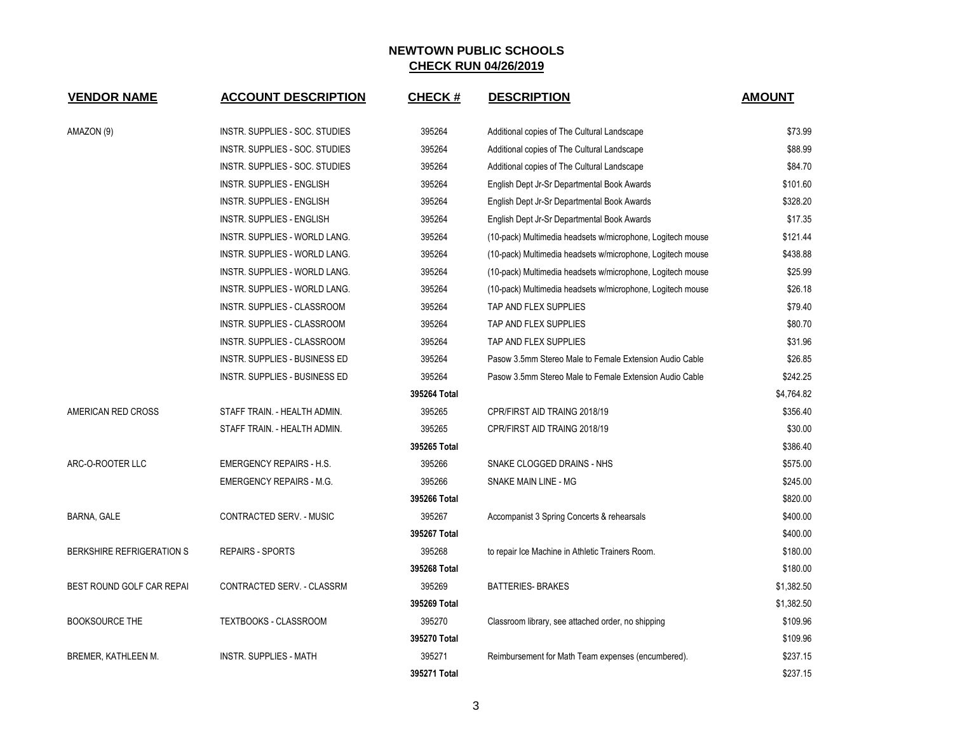| <b>VENDOR NAME</b>               | <b>ACCOUNT DESCRIPTION</b>           | <b>CHECK#</b> | <b>DESCRIPTION</b>                                         | <b>AMOUNT</b> |
|----------------------------------|--------------------------------------|---------------|------------------------------------------------------------|---------------|
| AMAZON (9)                       | INSTR. SUPPLIES - SOC. STUDIES       | 395264        | Additional copies of The Cultural Landscape                | \$73.99       |
|                                  | INSTR. SUPPLIES - SOC. STUDIES       | 395264        | Additional copies of The Cultural Landscape                | \$88.99       |
|                                  | INSTR. SUPPLIES - SOC. STUDIES       | 395264        | Additional copies of The Cultural Landscape                | \$84.70       |
|                                  | INSTR. SUPPLIES - ENGLISH            | 395264        | English Dept Jr-Sr Departmental Book Awards                | \$101.60      |
|                                  | INSTR. SUPPLIES - ENGLISH            | 395264        | English Dept Jr-Sr Departmental Book Awards                | \$328.20      |
|                                  | <b>INSTR. SUPPLIES - ENGLISH</b>     | 395264        | English Dept Jr-Sr Departmental Book Awards                | \$17.35       |
|                                  | INSTR. SUPPLIES - WORLD LANG.        | 395264        | (10-pack) Multimedia headsets w/microphone, Logitech mouse | \$121.44      |
|                                  | INSTR. SUPPLIES - WORLD LANG.        | 395264        | (10-pack) Multimedia headsets w/microphone, Logitech mouse | \$438.88      |
|                                  | INSTR. SUPPLIES - WORLD LANG.        | 395264        | (10-pack) Multimedia headsets w/microphone, Logitech mouse | \$25.99       |
|                                  | INSTR. SUPPLIES - WORLD LANG.        | 395264        | (10-pack) Multimedia headsets w/microphone, Logitech mouse | \$26.18       |
|                                  | <b>INSTR. SUPPLIES - CLASSROOM</b>   | 395264        | TAP AND FLEX SUPPLIES                                      | \$79.40       |
|                                  | <b>INSTR. SUPPLIES - CLASSROOM</b>   | 395264        | TAP AND FLEX SUPPLIES                                      | \$80.70       |
|                                  | INSTR. SUPPLIES - CLASSROOM          | 395264        | TAP AND FLEX SUPPLIES                                      | \$31.96       |
|                                  | INSTR. SUPPLIES - BUSINESS ED        | 395264        | Pasow 3.5mm Stereo Male to Female Extension Audio Cable    | \$26.85       |
|                                  | <b>INSTR. SUPPLIES - BUSINESS ED</b> | 395264        | Pasow 3.5mm Stereo Male to Female Extension Audio Cable    | \$242.25      |
|                                  |                                      | 395264 Total  |                                                            | \$4,764.82    |
| AMERICAN RED CROSS               | STAFF TRAIN. - HEALTH ADMIN.         | 395265        | CPR/FIRST AID TRAING 2018/19                               | \$356.40      |
|                                  | STAFF TRAIN. - HEALTH ADMIN.         | 395265        | CPR/FIRST AID TRAING 2018/19                               | \$30.00       |
|                                  |                                      | 395265 Total  |                                                            | \$386.40      |
| ARC-O-ROOTER LLC                 | <b>EMERGENCY REPAIRS - H.S.</b>      | 395266        | SNAKE CLOGGED DRAINS - NHS                                 | \$575.00      |
|                                  | <b>EMERGENCY REPAIRS - M.G.</b>      | 395266        | SNAKE MAIN LINE - MG                                       | \$245.00      |
|                                  |                                      | 395266 Total  |                                                            | \$820.00      |
| BARNA, GALE                      | CONTRACTED SERV. - MUSIC             | 395267        | Accompanist 3 Spring Concerts & rehearsals                 | \$400.00      |
|                                  |                                      | 395267 Total  |                                                            | \$400.00      |
| <b>BERKSHIRE REFRIGERATION S</b> | <b>REPAIRS - SPORTS</b>              | 395268        | to repair Ice Machine in Athletic Trainers Room.           | \$180.00      |
|                                  |                                      | 395268 Total  |                                                            | \$180.00      |
| BEST ROUND GOLF CAR REPAI        | CONTRACTED SERV. - CLASSRM           | 395269        | <b>BATTERIES- BRAKES</b>                                   | \$1,382.50    |
|                                  |                                      | 395269 Total  |                                                            | \$1,382.50    |
| <b>BOOKSOURCE THE</b>            | <b>TEXTBOOKS - CLASSROOM</b>         | 395270        | Classroom library, see attached order, no shipping         | \$109.96      |
|                                  |                                      | 395270 Total  |                                                            | \$109.96      |
| BREMER, KATHLEEN M.              | <b>INSTR. SUPPLIES - MATH</b>        | 395271        | Reimbursement for Math Team expenses (encumbered).         | \$237.15      |
|                                  |                                      | 395271 Total  |                                                            | \$237.15      |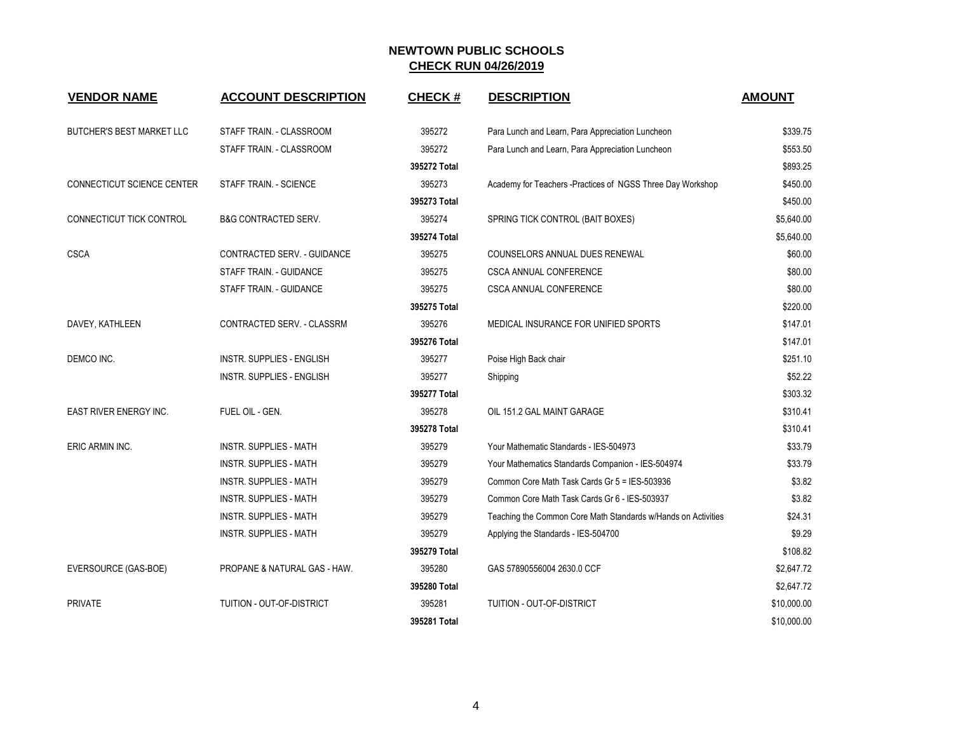| <b>VENDOR NAME</b>                | <b>ACCOUNT DESCRIPTION</b>         | <b>CHECK#</b> | <b>DESCRIPTION</b>                                            | <b>AMOUNT</b> |
|-----------------------------------|------------------------------------|---------------|---------------------------------------------------------------|---------------|
| <b>BUTCHER'S BEST MARKET LLC</b>  | STAFF TRAIN. - CLASSROOM           | 395272        | Para Lunch and Learn, Para Appreciation Luncheon              | \$339.75      |
|                                   | STAFF TRAIN. - CLASSROOM           | 395272        | Para Lunch and Learn, Para Appreciation Luncheon              | \$553.50      |
|                                   |                                    | 395272 Total  |                                                               | \$893.25      |
| <b>CONNECTICUT SCIENCE CENTER</b> | STAFF TRAIN. - SCIENCE             | 395273        | Academy for Teachers -Practices of NGSS Three Day Workshop    | \$450.00      |
|                                   |                                    | 395273 Total  |                                                               | \$450.00      |
| CONNECTICUT TICK CONTROL          | <b>B&amp;G CONTRACTED SERV.</b>    | 395274        | SPRING TICK CONTROL (BAIT BOXES)                              | \$5,640.00    |
|                                   |                                    | 395274 Total  |                                                               | \$5,640.00    |
| <b>CSCA</b>                       | <b>CONTRACTED SERV. - GUIDANCE</b> | 395275        | COUNSELORS ANNUAL DUES RENEWAL                                | \$60.00       |
|                                   | STAFF TRAIN. - GUIDANCE            | 395275        | CSCA ANNUAL CONFERENCE                                        | \$80.00       |
|                                   | STAFF TRAIN. - GUIDANCE            | 395275        | <b>CSCA ANNUAL CONFERENCE</b>                                 | \$80.00       |
|                                   |                                    | 395275 Total  |                                                               | \$220.00      |
| DAVEY, KATHLEEN                   | CONTRACTED SERV. - CLASSRM         | 395276        | MEDICAL INSURANCE FOR UNIFIED SPORTS                          | \$147.01      |
|                                   |                                    | 395276 Total  |                                                               | \$147.01      |
| DEMCO INC.                        | INSTR. SUPPLIES - ENGLISH          | 395277        | Poise High Back chair                                         | \$251.10      |
|                                   | <b>INSTR. SUPPLIES - ENGLISH</b>   | 395277        | Shipping                                                      | \$52.22       |
|                                   |                                    | 395277 Total  |                                                               | \$303.32      |
| EAST RIVER ENERGY INC.            | FUEL OIL - GEN.                    | 395278        | OIL 151.2 GAL MAINT GARAGE                                    | \$310.41      |
|                                   |                                    | 395278 Total  |                                                               | \$310.41      |
| ERIC ARMIN INC.                   | <b>INSTR. SUPPLIES - MATH</b>      | 395279        | Your Mathematic Standards - IES-504973                        | \$33.79       |
|                                   | <b>INSTR. SUPPLIES - MATH</b>      | 395279        | Your Mathematics Standards Companion - IES-504974             | \$33.79       |
|                                   | <b>INSTR. SUPPLIES - MATH</b>      | 395279        | Common Core Math Task Cards Gr 5 = IES-503936                 | \$3.82        |
|                                   | <b>INSTR. SUPPLIES - MATH</b>      | 395279        | Common Core Math Task Cards Gr 6 - IES-503937                 | \$3.82        |
|                                   | <b>INSTR. SUPPLIES - MATH</b>      | 395279        | Teaching the Common Core Math Standards w/Hands on Activities | \$24.31       |
|                                   | <b>INSTR. SUPPLIES - MATH</b>      | 395279        | Applying the Standards - IES-504700                           | \$9.29        |
|                                   |                                    | 395279 Total  |                                                               | \$108.82      |
| EVERSOURCE (GAS-BOE)              | PROPANE & NATURAL GAS - HAW.       | 395280        | GAS 57890556004 2630.0 CCF                                    | \$2,647.72    |
|                                   |                                    | 395280 Total  |                                                               | \$2,647.72    |
| <b>PRIVATE</b>                    | TUITION - OUT-OF-DISTRICT          | 395281        | TUITION - OUT-OF-DISTRICT                                     | \$10,000.00   |
|                                   |                                    | 395281 Total  |                                                               | \$10,000.00   |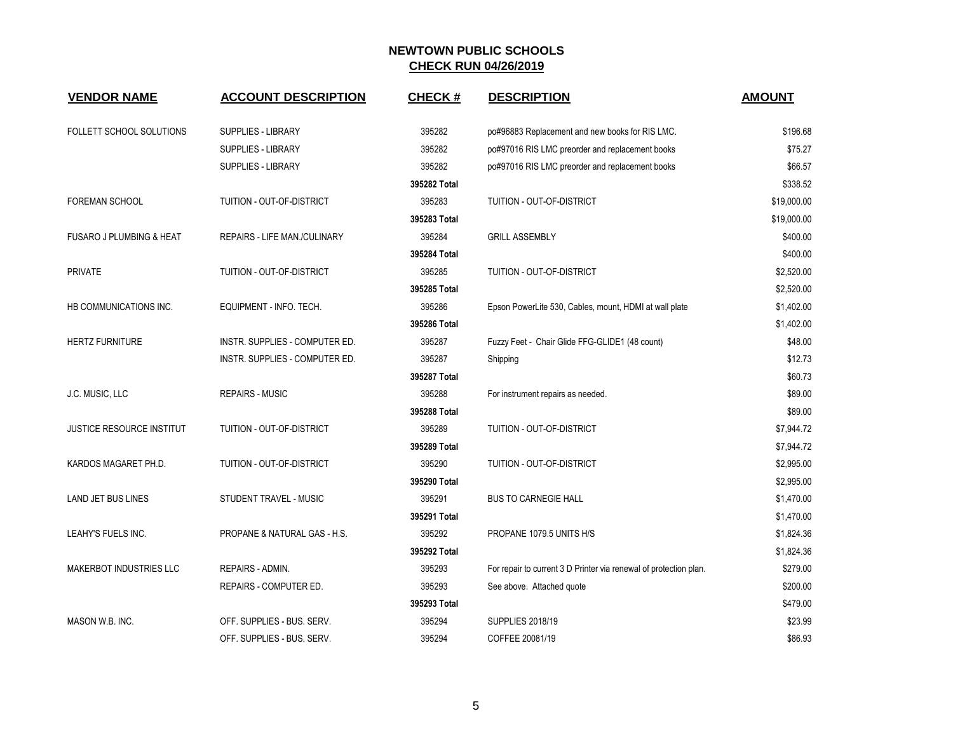| <b>VENDOR NAME</b>                  | <b>ACCOUNT DESCRIPTION</b>          | <b>CHECK#</b> | <b>DESCRIPTION</b>                                                | <b>AMOUNT</b> |
|-------------------------------------|-------------------------------------|---------------|-------------------------------------------------------------------|---------------|
| FOLLETT SCHOOL SOLUTIONS            | <b>SUPPLIES - LIBRARY</b>           | 395282        | po#96883 Replacement and new books for RIS LMC.                   | \$196.68      |
|                                     | SUPPLIES - LIBRARY                  | 395282        | po#97016 RIS LMC preorder and replacement books                   | \$75.27       |
|                                     | SUPPLIES - LIBRARY                  | 395282        | po#97016 RIS LMC preorder and replacement books                   | \$66.57       |
|                                     |                                     | 395282 Total  |                                                                   | \$338.52      |
| <b>FOREMAN SCHOOL</b>               | TUITION - OUT-OF-DISTRICT           | 395283        | TUITION - OUT-OF-DISTRICT                                         | \$19,000.00   |
|                                     |                                     | 395283 Total  |                                                                   | \$19,000.00   |
| <b>FUSARO J PLUMBING &amp; HEAT</b> | <b>REPAIRS - LIFE MAN./CULINARY</b> | 395284        | <b>GRILL ASSEMBLY</b>                                             | \$400.00      |
|                                     |                                     | 395284 Total  |                                                                   | \$400.00      |
| <b>PRIVATE</b>                      | TUITION - OUT-OF-DISTRICT           | 395285        | TUITION - OUT-OF-DISTRICT                                         | \$2,520.00    |
|                                     |                                     | 395285 Total  |                                                                   | \$2,520.00    |
| HB COMMUNICATIONS INC.              | EQUIPMENT - INFO. TECH.             | 395286        | Epson PowerLite 530, Cables, mount, HDMI at wall plate            | \$1,402.00    |
|                                     |                                     | 395286 Total  |                                                                   | \$1,402.00    |
| <b>HERTZ FURNITURE</b>              | INSTR. SUPPLIES - COMPUTER ED.      | 395287        | Fuzzy Feet - Chair Glide FFG-GLIDE1 (48 count)                    | \$48.00       |
|                                     | INSTR. SUPPLIES - COMPUTER ED.      | 395287        | Shipping                                                          | \$12.73       |
|                                     |                                     | 395287 Total  |                                                                   | \$60.73       |
| J.C. MUSIC, LLC                     | <b>REPAIRS - MUSIC</b>              | 395288        | For instrument repairs as needed.                                 | \$89.00       |
|                                     |                                     | 395288 Total  |                                                                   | \$89.00       |
| <b>JUSTICE RESOURCE INSTITUT</b>    | TUITION - OUT-OF-DISTRICT           | 395289        | TUITION - OUT-OF-DISTRICT                                         | \$7,944.72    |
|                                     |                                     | 395289 Total  |                                                                   | \$7,944.72    |
| KARDOS MAGARET PH.D.                | TUITION - OUT-OF-DISTRICT           | 395290        | TUITION - OUT-OF-DISTRICT                                         | \$2,995.00    |
|                                     |                                     | 395290 Total  |                                                                   | \$2,995.00    |
| LAND JET BUS LINES                  | STUDENT TRAVEL - MUSIC              | 395291        | <b>BUS TO CARNEGIE HALL</b>                                       | \$1,470.00    |
|                                     |                                     | 395291 Total  |                                                                   | \$1,470.00    |
| LEAHY'S FUELS INC.                  | PROPANE & NATURAL GAS - H.S.        | 395292        | PROPANE 1079.5 UNITS H/S                                          | \$1,824.36    |
|                                     |                                     | 395292 Total  |                                                                   | \$1,824.36    |
| <b>MAKERBOT INDUSTRIES LLC</b>      | REPAIRS - ADMIN.                    | 395293        | For repair to current 3 D Printer via renewal of protection plan. | \$279.00      |
|                                     | REPAIRS - COMPUTER ED.              | 395293        | See above. Attached quote                                         | \$200.00      |
|                                     |                                     | 395293 Total  |                                                                   | \$479.00      |
| MASON W.B. INC.                     | OFF. SUPPLIES - BUS. SERV.          | 395294        | SUPPLIES 2018/19                                                  | \$23.99       |
|                                     | OFF. SUPPLIES - BUS. SERV.          | 395294        | COFFEE 20081/19                                                   | \$86.93       |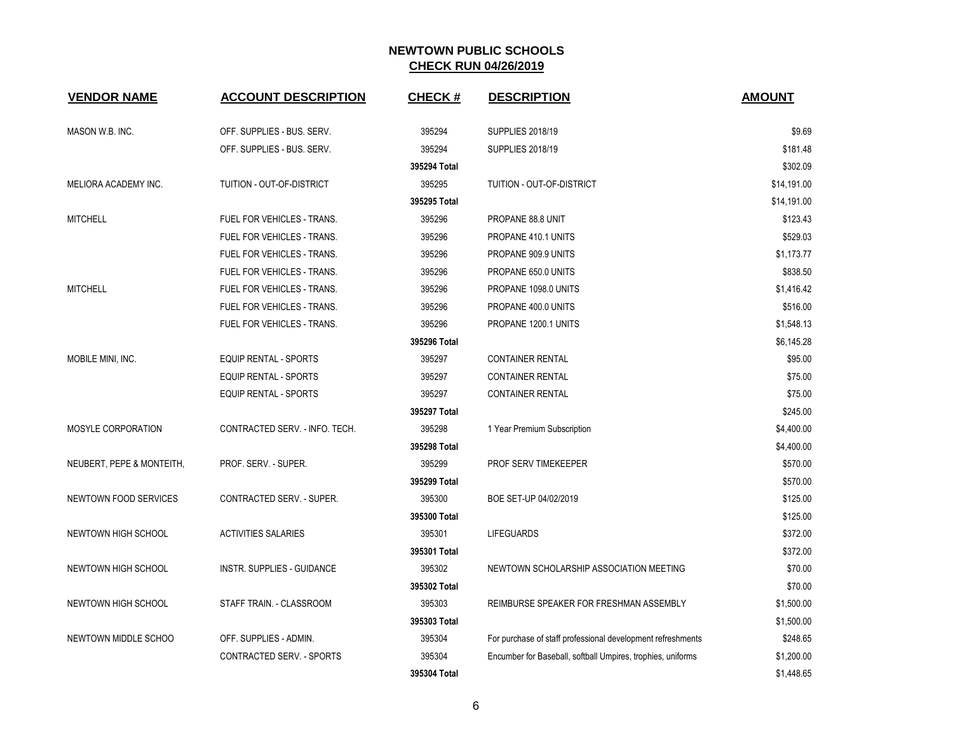| <b>VENDOR NAME</b>        | <b>ACCOUNT DESCRIPTION</b>        | <b>CHECK#</b> | <b>DESCRIPTION</b>                                          | <b>AMOUNT</b> |
|---------------------------|-----------------------------------|---------------|-------------------------------------------------------------|---------------|
| MASON W.B. INC.           | OFF. SUPPLIES - BUS. SERV.        | 395294        | <b>SUPPLIES 2018/19</b>                                     | \$9.69        |
|                           | OFF. SUPPLIES - BUS. SERV.        | 395294        | <b>SUPPLIES 2018/19</b>                                     | \$181.48      |
|                           |                                   | 395294 Total  |                                                             | \$302.09      |
| MELIORA ACADEMY INC.      | TUITION - OUT-OF-DISTRICT         | 395295        | TUITION - OUT-OF-DISTRICT                                   | \$14,191.00   |
|                           |                                   | 395295 Total  |                                                             | \$14,191.00   |
| <b>MITCHELL</b>           | FUEL FOR VEHICLES - TRANS.        | 395296        | PROPANE 88.8 UNIT                                           | \$123.43      |
|                           | <b>FUEL FOR VEHICLES - TRANS.</b> | 395296        | PROPANE 410.1 UNITS                                         | \$529.03      |
|                           | FUEL FOR VEHICLES - TRANS.        | 395296        | PROPANE 909.9 UNITS                                         | \$1,173.77    |
|                           | FUEL FOR VEHICLES - TRANS.        | 395296        | PROPANE 650.0 UNITS                                         | \$838.50      |
| <b>MITCHELL</b>           | FUEL FOR VEHICLES - TRANS.        | 395296        | PROPANE 1098.0 UNITS                                        | \$1,416.42    |
|                           | FUEL FOR VEHICLES - TRANS.        | 395296        | PROPANE 400.0 UNITS                                         | \$516.00      |
|                           | FUEL FOR VEHICLES - TRANS.        | 395296        | PROPANE 1200.1 UNITS                                        | \$1,548.13    |
|                           |                                   | 395296 Total  |                                                             | \$6,145.28    |
| MOBILE MINI, INC.         | <b>EQUIP RENTAL - SPORTS</b>      | 395297        | <b>CONTAINER RENTAL</b>                                     | \$95.00       |
|                           | <b>EQUIP RENTAL - SPORTS</b>      | 395297        | <b>CONTAINER RENTAL</b>                                     | \$75.00       |
|                           | <b>EQUIP RENTAL - SPORTS</b>      | 395297        | <b>CONTAINER RENTAL</b>                                     | \$75.00       |
|                           |                                   | 395297 Total  |                                                             | \$245.00      |
| MOSYLE CORPORATION        | CONTRACTED SERV. - INFO. TECH.    | 395298        | 1 Year Premium Subscription                                 | \$4,400.00    |
|                           |                                   | 395298 Total  |                                                             | \$4,400.00    |
| NEUBERT, PEPE & MONTEITH, | PROF. SERV. - SUPER.              | 395299        | PROF SERV TIMEKEEPER                                        | \$570.00      |
|                           |                                   | 395299 Total  |                                                             | \$570.00      |
| NEWTOWN FOOD SERVICES     | <b>CONTRACTED SERV. - SUPER.</b>  | 395300        | BOE SET-UP 04/02/2019                                       | \$125.00      |
|                           |                                   | 395300 Total  |                                                             | \$125.00      |
| NEWTOWN HIGH SCHOOL       | <b>ACTIVITIES SALARIES</b>        | 395301        | <b>LIFEGUARDS</b>                                           | \$372.00      |
|                           |                                   | 395301 Total  |                                                             | \$372.00      |
| NEWTOWN HIGH SCHOOL       | INSTR. SUPPLIES - GUIDANCE        | 395302        | NEWTOWN SCHOLARSHIP ASSOCIATION MEETING                     | \$70.00       |
|                           |                                   | 395302 Total  |                                                             | \$70.00       |
| NEWTOWN HIGH SCHOOL       | STAFF TRAIN. - CLASSROOM          | 395303        | REIMBURSE SPEAKER FOR FRESHMAN ASSEMBLY                     | \$1,500.00    |
|                           |                                   | 395303 Total  |                                                             | \$1,500.00    |
| NEWTOWN MIDDLE SCHOO      | OFF. SUPPLIES - ADMIN.            | 395304        | For purchase of staff professional development refreshments | \$248.65      |
|                           | CONTRACTED SERV. - SPORTS         | 395304        | Encumber for Baseball, softball Umpires, trophies, uniforms | \$1,200.00    |
|                           |                                   | 395304 Total  |                                                             | \$1,448.65    |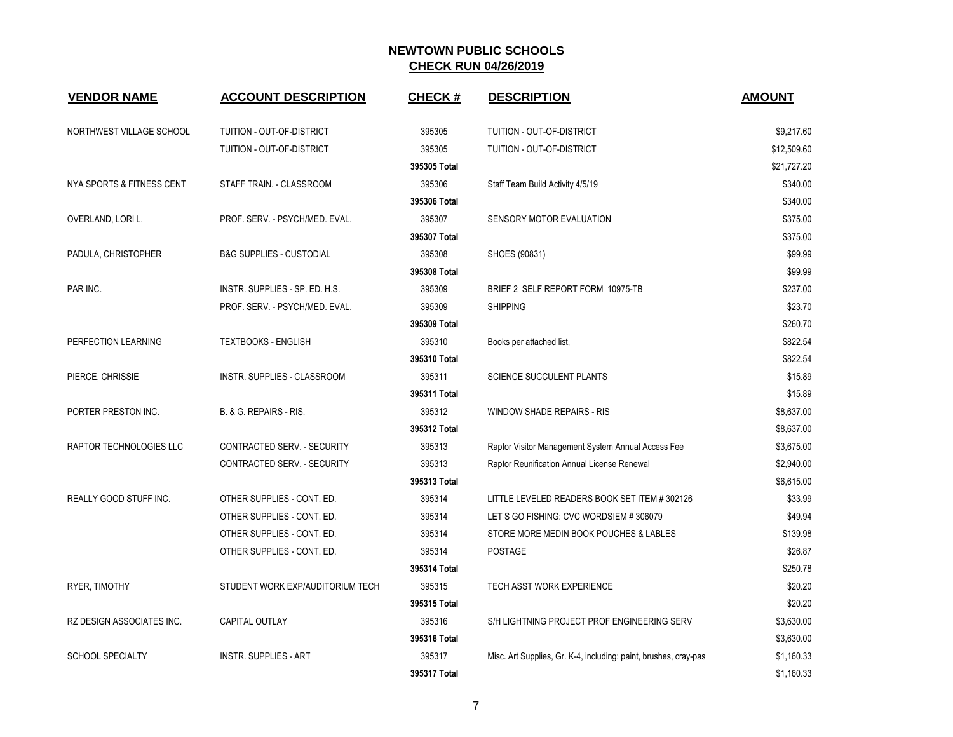| <b>VENDOR NAME</b>               | <b>ACCOUNT DESCRIPTION</b>          | <b>CHECK#</b> | <b>DESCRIPTION</b>                                               | <b>AMOUNT</b> |
|----------------------------------|-------------------------------------|---------------|------------------------------------------------------------------|---------------|
| NORTHWEST VILLAGE SCHOOL         | TUITION - OUT-OF-DISTRICT           | 395305        | TUITION - OUT-OF-DISTRICT                                        | \$9,217.60    |
|                                  | TUITION - OUT-OF-DISTRICT           | 395305        | TUITION - OUT-OF-DISTRICT                                        | \$12,509.60   |
|                                  |                                     | 395305 Total  |                                                                  | \$21,727.20   |
| NYA SPORTS & FITNESS CENT        | STAFF TRAIN. - CLASSROOM            | 395306        | Staff Team Build Activity 4/5/19                                 | \$340.00      |
|                                  |                                     | 395306 Total  |                                                                  | \$340.00      |
| OVERLAND, LORI L.                | PROF. SERV. - PSYCH/MED. EVAL.      | 395307        | SENSORY MOTOR EVALUATION                                         | \$375.00      |
|                                  |                                     | 395307 Total  |                                                                  | \$375.00      |
| PADULA, CHRISTOPHER              | <b>B&amp;G SUPPLIES - CUSTODIAL</b> | 395308        | SHOES (90831)                                                    | \$99.99       |
|                                  |                                     | 395308 Total  |                                                                  | \$99.99       |
| PAR INC.                         | INSTR. SUPPLIES - SP. ED. H.S.      | 395309        | BRIEF 2 SELF REPORT FORM 10975-TB                                | \$237.00      |
|                                  | PROF. SERV. - PSYCH/MED. EVAL.      | 395309        | <b>SHIPPING</b>                                                  | \$23.70       |
|                                  |                                     | 395309 Total  |                                                                  | \$260.70      |
| PERFECTION LEARNING              | <b>TEXTBOOKS - ENGLISH</b>          | 395310        | Books per attached list,                                         | \$822.54      |
|                                  |                                     | 395310 Total  |                                                                  | \$822.54      |
| PIERCE, CHRISSIE                 | INSTR. SUPPLIES - CLASSROOM         | 395311        | <b>SCIENCE SUCCULENT PLANTS</b>                                  | \$15.89       |
|                                  |                                     | 395311 Total  |                                                                  | \$15.89       |
| PORTER PRESTON INC.              | B. & G. REPAIRS - RIS.              | 395312        | <b>WINDOW SHADE REPAIRS - RIS</b>                                | \$8,637.00    |
|                                  |                                     | 395312 Total  |                                                                  | \$8,637.00    |
| RAPTOR TECHNOLOGIES LLC          | CONTRACTED SERV. - SECURITY         | 395313        | Raptor Visitor Management System Annual Access Fee               | \$3,675.00    |
|                                  | CONTRACTED SERV. - SECURITY         | 395313        | Raptor Reunification Annual License Renewal                      | \$2,940.00    |
|                                  |                                     | 395313 Total  |                                                                  | \$6,615.00    |
| REALLY GOOD STUFF INC.           | OTHER SUPPLIES - CONT. ED.          | 395314        | LITTLE LEVELED READERS BOOK SET ITEM #302126                     | \$33.99       |
|                                  | OTHER SUPPLIES - CONT. ED.          | 395314        | LET S GO FISHING: CVC WORDSIEM #306079                           | \$49.94       |
|                                  | OTHER SUPPLIES - CONT. ED.          | 395314        | STORE MORE MEDIN BOOK POUCHES & LABLES                           | \$139.98      |
|                                  | OTHER SUPPLIES - CONT. ED.          | 395314        | <b>POSTAGE</b>                                                   | \$26.87       |
|                                  |                                     | 395314 Total  |                                                                  | \$250.78      |
| RYER, TIMOTHY                    | STUDENT WORK EXP/AUDITORIUM TECH    | 395315        | TECH ASST WORK EXPERIENCE                                        | \$20.20       |
|                                  |                                     | 395315 Total  |                                                                  | \$20.20       |
| <b>RZ DESIGN ASSOCIATES INC.</b> | CAPITAL OUTLAY                      | 395316        | S/H LIGHTNING PROJECT PROF ENGINEERING SERV                      | \$3,630.00    |
|                                  |                                     | 395316 Total  |                                                                  | \$3,630.00    |
| SCHOOL SPECIALTY                 | <b>INSTR. SUPPLIES - ART</b>        | 395317        | Misc. Art Supplies, Gr. K-4, including: paint, brushes, cray-pas | \$1,160.33    |
|                                  |                                     | 395317 Total  |                                                                  | \$1,160.33    |